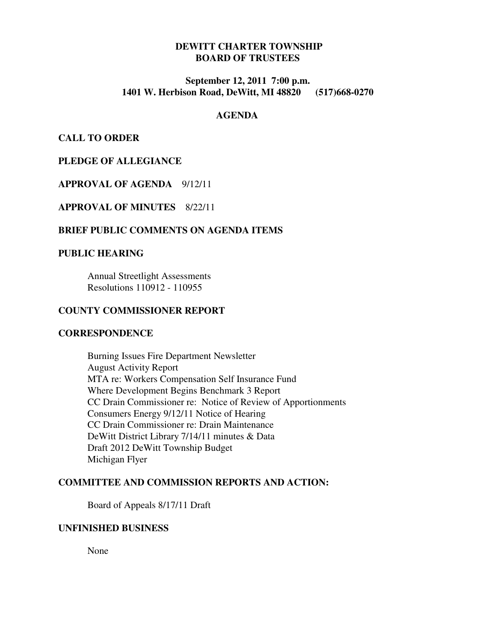# **DEWITT CHARTER TOWNSHIP BOARD OF TRUSTEES**

# **September 12, 2011 7:00 p.m. 1401 W. Herbison Road, DeWitt, MI 48820 (517)668-0270**

#### **AGENDA**

**CALL TO ORDER** 

# **PLEDGE OF ALLEGIANCE**

# **APPROVAL OF AGENDA** 9/12/11

**APPROVAL OF MINUTES** 8/22/11

## **BRIEF PUBLIC COMMENTS ON AGENDA ITEMS**

#### **PUBLIC HEARING**

Annual Streetlight Assessments Resolutions 110912 - 110955

#### **COUNTY COMMISSIONER REPORT**

#### **CORRESPONDENCE**

 Burning Issues Fire Department Newsletter August Activity Report MTA re: Workers Compensation Self Insurance Fund Where Development Begins Benchmark 3 Report CC Drain Commissioner re: Notice of Review of Apportionments Consumers Energy 9/12/11 Notice of Hearing CC Drain Commissioner re: Drain Maintenance DeWitt District Library 7/14/11 minutes & Data Draft 2012 DeWitt Township Budget Michigan Flyer

# **COMMITTEE AND COMMISSION REPORTS AND ACTION:**

Board of Appeals 8/17/11 Draft

#### **UNFINISHED BUSINESS**

None